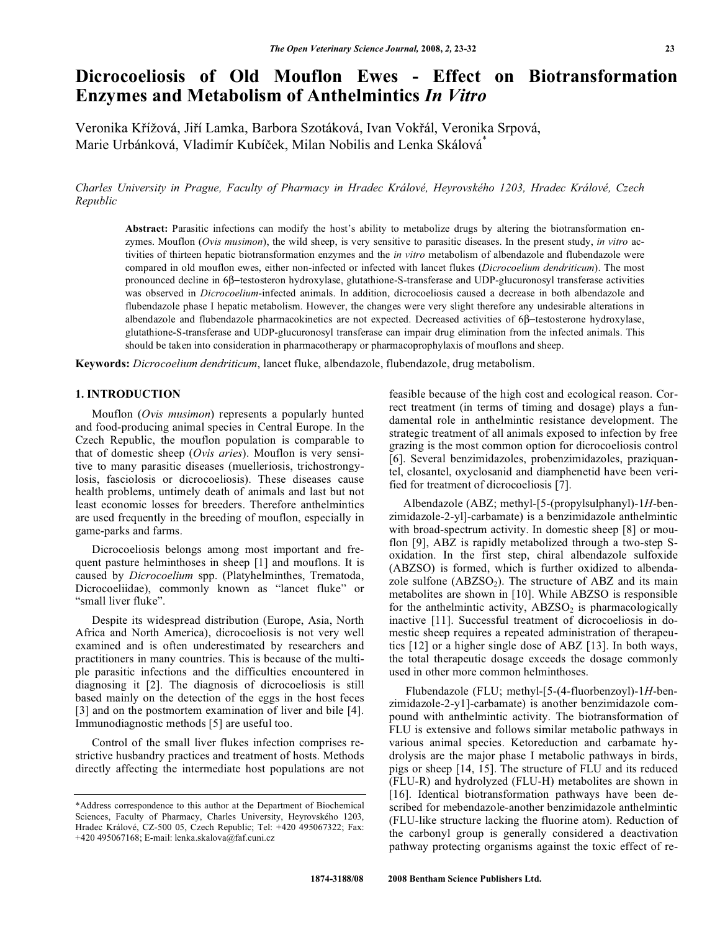# **Dicrocoeliosis of Old Mouflon Ewes - Effect on Biotransformation Enzymes and Metabolism of Anthelmintics** *In Vitro*

Veronika Křížová, Jiří Lamka, Barbora Szotáková, Ivan Vokřál, Veronika Srpová, Marie Urbánková, Vladimír Kubíček, Milan Nobilis and Lenka Skálová<sup>\*</sup>

*Charles University in Prague, Faculty of Pharmacy in Hradec Králové, Heyrovského 1203, Hradec Králové, Czech Republic* 

**Abstract:** Parasitic infections can modify the host's ability to metabolize drugs by altering the biotransformation enzymes. Mouflon (*Ovis musimon*), the wild sheep, is very sensitive to parasitic diseases. In the present study, *in vitro* activities of thirteen hepatic biotransformation enzymes and the *in vitro* metabolism of albendazole and flubendazole were compared in old mouflon ewes, either non-infected or infected with lancet flukes (*Dicrocoelium dendriticum*). The most pronounced decline in 6 $\beta$ -testosteron hydroxylase, glutathione-S-transferase and UDP-glucuronosyl transferase activities was observed in *Dicrocoelium*-infected animals. In addition, dicrocoeliosis caused a decrease in both albendazole and flubendazole phase I hepatic metabolism. However, the changes were very slight therefore any undesirable alterations in albendazole and flubendazole pharmacokinetics are not expected. Decreased activities of 6 $\beta$ -testosterone hydroxylase, glutathione-S-transferase and UDP-glucuronosyl transferase can impair drug elimination from the infected animals. This should be taken into consideration in pharmacotherapy or pharmacoprophylaxis of mouflons and sheep.

**Keywords:** *Dicrocoelium dendriticum*, lancet fluke, albendazole, flubendazole, drug metabolism.

# **1. INTRODUCTION**

 Mouflon (*Ovis musimon*) represents a popularly hunted and food-producing animal species in Central Europe. In the Czech Republic, the mouflon population is comparable to that of domestic sheep (*Ovis aries*). Mouflon is very sensitive to many parasitic diseases (muelleriosis, trichostrongylosis, fasciolosis or dicrocoeliosis). These diseases cause health problems, untimely death of animals and last but not least economic losses for breeders. Therefore anthelmintics are used frequently in the breeding of mouflon, especially in game-parks and farms.

 Dicrocoeliosis belongs among most important and frequent pasture helminthoses in sheep [1] and mouflons. It is caused by *Dicrocoelium* spp. (Platyhelminthes, Trematoda, Dicrocoeliidae), commonly known as "lancet fluke" or "small liver fluke".

 Despite its widespread distribution (Europe, Asia, North Africa and North America), dicrocoeliosis is not very well examined and is often underestimated by researchers and practitioners in many countries. This is because of the multiple parasitic infections and the difficulties encountered in diagnosing it [2]. The diagnosis of dicrocoeliosis is still based mainly on the detection of the eggs in the host feces [3] and on the postmortem examination of liver and bile [4]. Immunodiagnostic methods [5] are useful too.

 Control of the small liver flukes infection comprises restrictive husbandry practices and treatment of hosts. Methods directly affecting the intermediate host populations are not feasible because of the high cost and ecological reason. Correct treatment (in terms of timing and dosage) plays a fundamental role in anthelmintic resistance development. The strategic treatment of all animals exposed to infection by free grazing is the most common option for dicrocoeliosis control [6]. Several benzimidazoles, probenzimidazoles, praziquantel, closantel, oxyclosanid and diamphenetid have been verified for treatment of dicrocoeliosis [7].

 Albendazole (ABZ; methyl-[5-(propylsulphanyl)-1*H*-benzimidazole-2-yl]-carbamate) is a benzimidazole anthelmintic with broad-spectrum activity. In domestic sheep [8] or mouflon [9], ABZ is rapidly metabolized through a two-step Soxidation. In the first step, chiral albendazole sulfoxide (ABZSO) is formed, which is further oxidized to albendazole sulfone  $(ABZSO<sub>2</sub>)$ . The structure of ABZ and its main metabolites are shown in [10]. While ABZSO is responsible for the anthelmintic activity,  $ABZSO<sub>2</sub>$  is pharmacologically inactive [11]. Successful treatment of dicrocoeliosis in domestic sheep requires a repeated administration of therapeutics [12] or a higher single dose of ABZ [13]. In both ways, the total therapeutic dosage exceeds the dosage commonly used in other more common helminthoses.

 Flubendazole (FLU; methyl-[5-(4-fluorbenzoyl)-1*H*-benzimidazole-2-y1]-carbamate) is another benzimidazole compound with anthelmintic activity. The biotransformation of FLU is extensive and follows similar metabolic pathways in various animal species. Ketoreduction and carbamate hydrolysis are the major phase I metabolic pathways in birds, pigs or sheep [14, 15]. The structure of FLU and its reduced (FLU-R) and hydrolyzed (FLU-H) metabolites are shown in [16]. Identical biotransformation pathways have been described for mebendazole-another benzimidazole anthelmintic (FLU-like structure lacking the fluorine atom). Reduction of the carbonyl group is generally considered a deactivation pathway protecting organisms against the toxic effect of re-

<sup>\*</sup>Address correspondence to this author at the Department of Biochemical Sciences, Faculty of Pharmacy, Charles University, Heyrovského 1203, Hradec Králové, CZ-500 05, Czech Republic; Tel: +420 495067322; Fax: +420 495067168; E-mail: lenka.skalova@faf.cuni.cz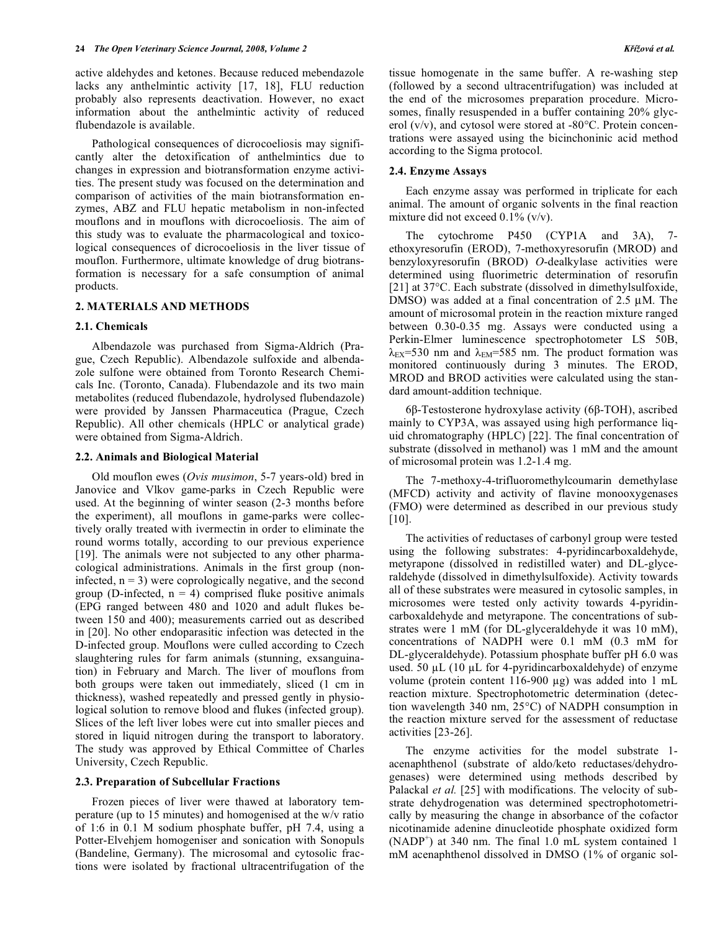active aldehydes and ketones. Because reduced mebendazole lacks any anthelmintic activity [17, 18], FLU reduction probably also represents deactivation. However, no exact information about the anthelmintic activity of reduced flubendazole is available.

 Pathological consequences of dicrocoeliosis may significantly alter the detoxification of anthelmintics due to changes in expression and biotransformation enzyme activities. The present study was focused on the determination and comparison of activities of the main biotransformation enzymes, ABZ and FLU hepatic metabolism in non-infected mouflons and in mouflons with dicrocoeliosis. The aim of this study was to evaluate the pharmacological and toxicological consequences of dicrocoeliosis in the liver tissue of mouflon. Furthermore, ultimate knowledge of drug biotransformation is necessary for a safe consumption of animal products.

#### **2. MATERIALS AND METHODS**

#### **2.1. Chemicals**

 Albendazole was purchased from Sigma-Aldrich (Prague, Czech Republic). Albendazole sulfoxide and albendazole sulfone were obtained from Toronto Research Chemicals Inc. (Toronto, Canada). Flubendazole and its two main metabolites (reduced flubendazole, hydrolysed flubendazole) were provided by Janssen Pharmaceutica (Prague, Czech Republic). All other chemicals (HPLC or analytical grade) were obtained from Sigma-Aldrich.

#### **2.2. Animals and Biological Material**

 Old mouflon ewes (*Ovis musimon*, 5-7 years-old) bred in Janovice and Vlkov game-parks in Czech Republic were used. At the beginning of winter season (2-3 months before the experiment), all mouflons in game-parks were collectively orally treated with ivermectin in order to eliminate the round worms totally, according to our previous experience [19]. The animals were not subjected to any other pharmacological administrations. Animals in the first group (noninfected,  $n = 3$ ) were coprologically negative, and the second group (D-infected,  $n = 4$ ) comprised fluke positive animals (EPG ranged between 480 and 1020 and adult flukes between 150 and 400); measurements carried out as described in [20]. No other endoparasitic infection was detected in the D-infected group. Mouflons were culled according to Czech slaughtering rules for farm animals (stunning, exsanguination) in February and March. The liver of mouflons from both groups were taken out immediately, sliced (1 cm in thickness), washed repeatedly and pressed gently in physiological solution to remove blood and flukes (infected group). Slices of the left liver lobes were cut into smaller pieces and stored in liquid nitrogen during the transport to laboratory. The study was approved by Ethical Committee of Charles University, Czech Republic.

#### **2.3. Preparation of Subcellular Fractions**

 Frozen pieces of liver were thawed at laboratory temperature (up to 15 minutes) and homogenised at the w/v ratio of 1:6 in 0.1 M sodium phosphate buffer, pH 7.4, using a Potter-Elvehjem homogeniser and sonication with Sonopuls (Bandeline, Germany). The microsomal and cytosolic fractions were isolated by fractional ultracentrifugation of the

tissue homogenate in the same buffer. A re-washing step (followed by a second ultracentrifugation) was included at the end of the microsomes preparation procedure. Microsomes, finally resuspended in a buffer containing 20% glycerol (v/v), and cytosol were stored at -80°C. Protein concentrations were assayed using the bicinchoninic acid method according to the Sigma protocol.

## **2.4. Enzyme Assays**

 Each enzyme assay was performed in triplicate for each animal. The amount of organic solvents in the final reaction mixture did not exceed  $0.1\%$  (v/v).

 The cytochrome P450 (CYP1A and 3A), 7 ethoxyresorufin (EROD), 7-methoxyresorufin (MROD) and benzyloxyresorufin (BROD) *O*-dealkylase activities were determined using fluorimetric determination of resorufin [21] at 37°C. Each substrate (dissolved in dimethylsulfoxide, DMSO) was added at a final concentration of  $2.5 \mu M$ . The amount of microsomal protein in the reaction mixture ranged between 0.30-0.35 mg. Assays were conducted using a Perkin-Elmer luminescence spectrophotometer LS 50B,  $\lambda_{\text{EX}}$ =530 nm and  $\lambda_{\text{EM}}$ =585 nm. The product formation was monitored continuously during 3 minutes. The EROD, MROD and BROD activities were calculated using the standard amount-addition technique.

6β-Testosterone hydroxylase activity (6β-TOH), ascribed mainly to CYP3A, was assayed using high performance liquid chromatography (HPLC) [22]. The final concentration of substrate (dissolved in methanol) was 1 mM and the amount of microsomal protein was 1.2-1.4 mg.

 The 7-methoxy-4-trifluoromethylcoumarin demethylase (MFCD) activity and activity of flavine monooxygenases (FMO) were determined as described in our previous study [10].

 The activities of reductases of carbonyl group were tested using the following substrates: 4-pyridincarboxaldehyde, metyrapone (dissolved in redistilled water) and DL-glyceraldehyde (dissolved in dimethylsulfoxide). Activity towards all of these substrates were measured in cytosolic samples, in microsomes were tested only activity towards 4-pyridincarboxaldehyde and metyrapone. The concentrations of substrates were 1 mM (for DL-glyceraldehyde it was 10 mM), concentrations of NADPH were 0.1 mM (0.3 mM for DL-glyceraldehyde). Potassium phosphate buffer pH 6.0 was used. 50  $\mu$ L (10  $\mu$ L for 4-pyridincarboxaldehyde) of enzyme volume (protein content 116-900  $\mu$ g) was added into 1 mL reaction mixture. Spectrophotometric determination (detection wavelength 340 nm, 25°C) of NADPH consumption in the reaction mixture served for the assessment of reductase activities [23-26].

 The enzyme activities for the model substrate 1 acenaphthenol (substrate of aldo/keto reductases/dehydrogenases) were determined using methods described by Palackal *et al.* [25] with modifications. The velocity of substrate dehydrogenation was determined spectrophotometrically by measuring the change in absorbance of the cofactor nicotinamide adenine dinucleotide phosphate oxidized form  $(NADP<sup>+</sup>)$  at 340 nm. The final 1.0 mL system contained 1 mM acenaphthenol dissolved in DMSO (1% of organic sol-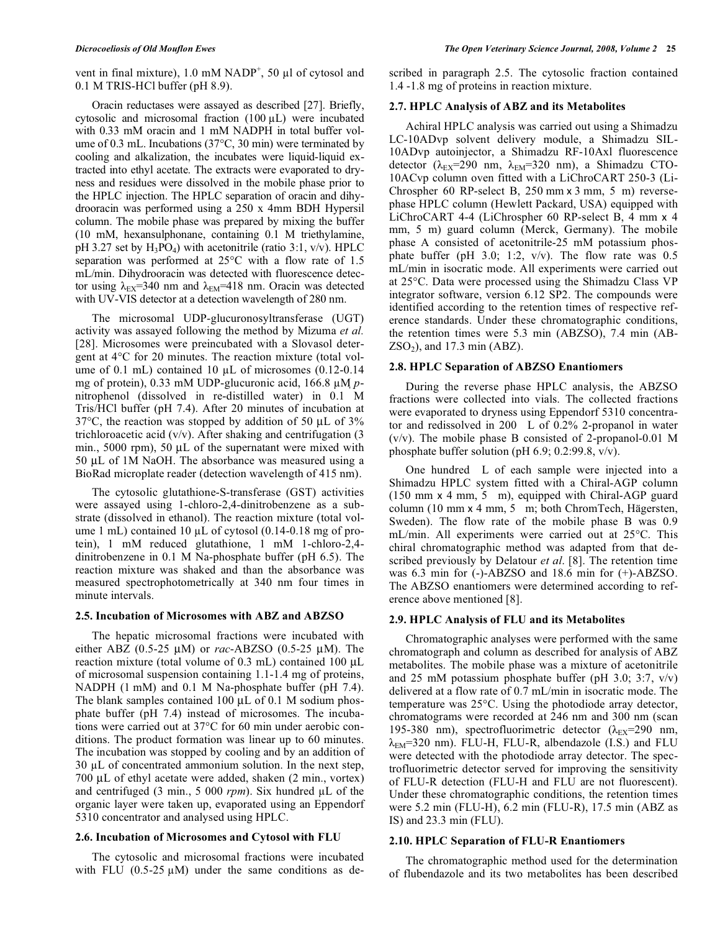vent in final mixture),  $1.0 \text{ mM NADP}^+$ ,  $50 \mu l$  of cytosol and 0.1 M TRIS-HCl buffer (pH 8.9).

 Oracin reductases were assayed as described [27]. Briefly, cytosolic and microsomal fraction  $(100 \mu L)$  were incubated with 0.33 mM oracin and 1 mM NADPH in total buffer volume of 0.3 mL. Incubations (37°C, 30 min) were terminated by cooling and alkalization, the incubates were liquid-liquid extracted into ethyl acetate. The extracts were evaporated to dryness and residues were dissolved in the mobile phase prior to the HPLC injection. The HPLC separation of oracin and dihydrooracin was performed using a 250 x 4mm BDH Hypersil column. The mobile phase was prepared by mixing the buffer (10 mM, hexansulphonane, containing 0.1 M triethylamine, pH 3.27 set by  $H_3PO_4$ ) with acetonitrile (ratio 3:1, v/v). HPLC separation was performed at 25°C with a flow rate of 1.5 mL/min. Dihydrooracin was detected with fluorescence detector using  $\lambda_{EX}$ =340 nm and  $\lambda_{EM}$ =418 nm. Oracin was detected with UV-VIS detector at a detection wavelength of 280 nm.

 The microsomal UDP-glucuronosyltransferase (UGT) activity was assayed following the method by Mizuma *et al.* [28]. Microsomes were preincubated with a Slovasol detergent at 4°C for 20 minutes. The reaction mixture (total volume of 0.1 mL) contained 10  $\mu$ L of microsomes (0.12-0.14 mg of protein), 0.33 mM UDP-glucuronic acid, 166.8 μM *p*nitrophenol (dissolved in re-distilled water) in 0.1 M Tris/HCl buffer (pH 7.4). After 20 minutes of incubation at  $37^{\circ}$ C, the reaction was stopped by addition of 50 µL of  $3\%$ trichloroacetic acid  $(v/v)$ . After shaking and centrifugation (3) min., 5000 rpm), 50  $\mu$ L of the supernatant were mixed with 50 µL of 1M NaOH. The absorbance was measured using a BioRad microplate reader (detection wavelength of 415 nm).

 The cytosolic glutathione-S-transferase (GST) activities were assayed using 1-chloro-2,4-dinitrobenzene as a substrate (dissolved in ethanol). The reaction mixture (total volume 1 mL) contained 10  $\mu$ L of cytosol (0.14-0.18 mg of protein), 1 mM reduced glutathione, 1 mM 1-chloro-2,4 dinitrobenzene in 0.1 M Na-phosphate buffer (pH 6.5). The reaction mixture was shaked and than the absorbance was measured spectrophotometrically at 340 nm four times in minute intervals.

## **2.5. Incubation of Microsomes with ABZ and ABZSO**

 The hepatic microsomal fractions were incubated with either ABZ (0.5-25 M) or *rac*-ABZSO (0.5-25 M). The reaction mixture (total volume of  $0.3$  mL) contained  $100 \mu L$ of microsomal suspension containing 1.1-1.4 mg of proteins, NADPH (1 mM) and 0.1 M Na-phosphate buffer (pH 7.4). The blank samples contained 100  $\mu$ L of 0.1 M sodium phosphate buffer (pH 7.4) instead of microsomes. The incubations were carried out at 37°C for 60 min under aerobic conditions. The product formation was linear up to 60 minutes. The incubation was stopped by cooling and by an addition of  $30 \mu L$  of concentrated ammonium solution. In the next step, 700  $\mu$ L of ethyl acetate were added, shaken (2 min., vortex) and centrifuged  $(3 \text{ min.}, 5 \text{ 000 } \text{ rpm})$ . Six hundred  $\mu$ L of the organic layer were taken up, evaporated using an Eppendorf 5310 concentrator and analysed using HPLC.

# **2.6. Incubation of Microsomes and Cytosol with FLU**

 The cytosolic and microsomal fractions were incubated with FLU  $(0.5\n-25 \mu M)$  under the same conditions as described in paragraph 2.5. The cytosolic fraction contained 1.4 -1.8 mg of proteins in reaction mixture.

# **2.7. HPLC Analysis of ABZ and its Metabolites**

 Achiral HPLC analysis was carried out using a Shimadzu LC-10ADvp solvent delivery module, a Shimadzu SIL-10ADvp autoinjector, a Shimadzu RF-10Axl fluorescence detector ( $\lambda_{EX}$ =290 nm,  $\lambda_{EM}$ =320 nm), a Shimadzu CTO-10ACvp column oven fitted with a LiChroCART 250-3 (Li-Chrospher 60 RP-select B,  $250$  mm  $\times$  3 mm, 5 m) reversephase HPLC column (Hewlett Packard, USA) equipped with LiChroCART 4-4 (LiChrospher 60 RP-select B, 4 mm x 4 mm, 5 m) guard column (Merck, Germany). The mobile phase A consisted of acetonitrile-25 mM potassium phosphate buffer (pH 3.0; 1:2,  $v/v$ ). The flow rate was 0.5 mL/min in isocratic mode. All experiments were carried out at 25°C. Data were processed using the Shimadzu Class VP integrator software, version 6.12 SP2. The compounds were identified according to the retention times of respective reference standards. Under these chromatographic conditions, the retention times were 5.3 min (ABZSO), 7.4 min (AB- $ZSO<sub>2</sub>$ ), and 17.3 min (ABZ).

# **2.8. HPLC Separation of ABZSO Enantiomers**

 During the reverse phase HPLC analysis, the ABZSO fractions were collected into vials. The collected fractions were evaporated to dryness using Eppendorf 5310 concentrator and redissolved in 200 L of 0.2% 2-propanol in water (v/v). The mobile phase B consisted of 2-propanol-0.01 M phosphate buffer solution (pH 6.9; 0.2:99.8, v/v).

 One hundred L of each sample were injected into a Shimadzu HPLC system fitted with a Chiral-AGP column  $(150 \text{ mm} \times 4 \text{ mm}, 5 \text{ m})$ , equipped with Chiral-AGP guard column (10 mm- 4 mm, 5 m; both ChromTech, Hägersten, Sweden). The flow rate of the mobile phase B was 0.9 mL/min. All experiments were carried out at 25°C. This chiral chromatographic method was adapted from that described previously by Delatour *et al*. [8]. The retention time was 6.3 min for (-)-ABZSO and 18.6 min for (+)-ABZSO. The ABZSO enantiomers were determined according to reference above mentioned [8].

# **2.9. HPLC Analysis of FLU and its Metabolites**

 Chromatographic analyses were performed with the same chromatograph and column as described for analysis of ABZ metabolites. The mobile phase was a mixture of acetonitrile and 25 mM potassium phosphate buffer (pH 3.0; 3:7, v/v) delivered at a flow rate of 0.7 mL/min in isocratic mode. The temperature was 25°C. Using the photodiode array detector, chromatograms were recorded at 246 nm and 300 nm (scan 195-380 nm), spectrofluorimetric detector  $(\lambda_{EX} = 290$  nm,  $\lambda_{EM}$ =320 nm). FLU-H, FLU-R, albendazole (I.S.) and FLU were detected with the photodiode array detector. The spectrofluorimetric detector served for improving the sensitivity of FLU-R detection (FLU-H and FLU are not fluorescent). Under these chromatographic conditions, the retention times were 5.2 min (FLU-H), 6.2 min (FLU-R), 17.5 min (ABZ as IS) and 23.3 min (FLU).

# **2.10. HPLC Separation of FLU-R Enantiomers**

 The chromatographic method used for the determination of flubendazole and its two metabolites has been described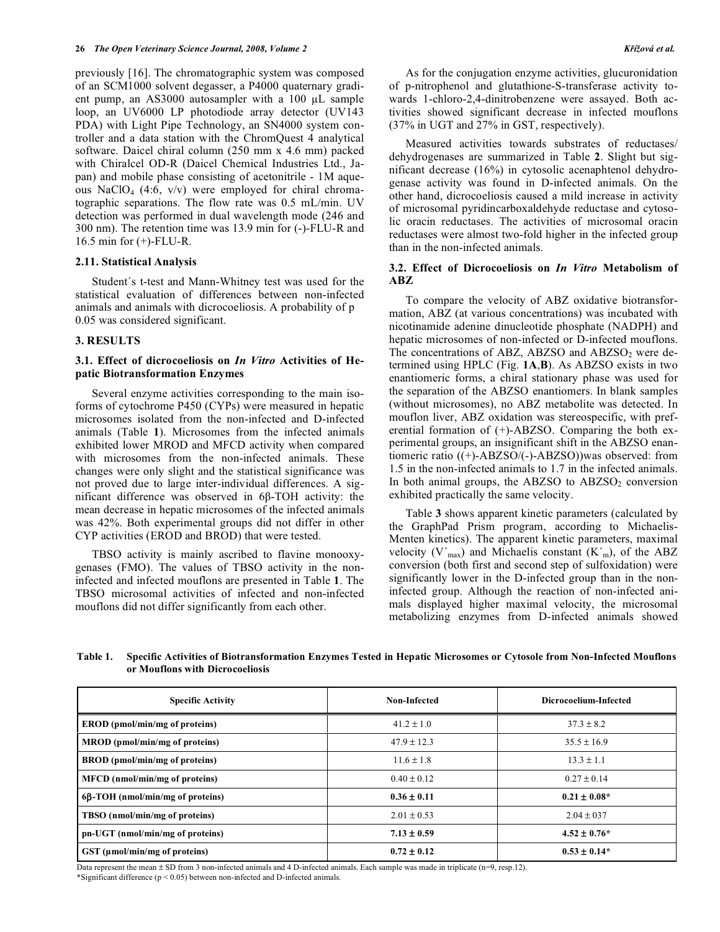previously [16]. The chromatographic system was composed of an SCM1000 solvent degasser, a P4000 quaternary gradient pump, an  $AS3000$  autosampler with a 100  $\mu$ L sample loop, an UV6000 LP photodiode array detector (UV143 PDA) with Light Pipe Technology, an SN4000 system controller and a data station with the ChromQuest 4 analytical software. Daicel chiral column (250 mm x 4.6 mm) packed with Chiralcel OD-R (Daicel Chemical Industries Ltd., Japan) and mobile phase consisting of acetonitrile - 1M aqueous NaClO<sub>4</sub> (4:6, v/v) were employed for chiral chromatographic separations. The flow rate was 0.5 mL/min. UV detection was performed in dual wavelength mode (246 and 300 nm). The retention time was 13.9 min for (-)-FLU-R and 16.5 min for (+)-FLU-R.

#### **2.11. Statistical Analysis**

 Student´s t-test and Mann-Whitney test was used for the statistical evaluation of differences between non-infected animals and animals with dicrocoeliosis. A probability of p 0.05 was considered significant.

# **3. RESULTS**

# **3.1. Effect of dicrocoeliosis on** *In Vitro* **Activities of Hepatic Biotransformation Enzymes**

 Several enzyme activities corresponding to the main isoforms of cytochrome P450 (CYPs) were measured in hepatic microsomes isolated from the non-infected and D-infected animals (Table **1**). Microsomes from the infected animals exhibited lower MROD and MFCD activity when compared with microsomes from the non-infected animals. These changes were only slight and the statistical significance was not proved due to large inter-individual differences. A significant difference was observed in  $6\beta$ -TOH activity: the mean decrease in hepatic microsomes of the infected animals was 42%. Both experimental groups did not differ in other CYP activities (EROD and BROD) that were tested.

 TBSO activity is mainly ascribed to flavine monooxygenases (FMO). The values of TBSO activity in the noninfected and infected mouflons are presented in Table **1**. The TBSO microsomal activities of infected and non-infected mouflons did not differ significantly from each other.

 As for the conjugation enzyme activities, glucuronidation of p-nitrophenol and glutathione-S-transferase activity towards 1-chloro-2,4-dinitrobenzene were assayed. Both activities showed significant decrease in infected mouflons (37% in UGT and 27% in GST, respectively).

 Measured activities towards substrates of reductases/ dehydrogenases are summarized in Table **2**. Slight but significant decrease (16%) in cytosolic acenaphtenol dehydrogenase activity was found in D-infected animals. On the other hand, dicrocoeliosis caused a mild increase in activity of microsomal pyridincarboxaldehyde reductase and cytosolic oracin reductases. The activities of microsomal oracin reductases were almost two-fold higher in the infected group than in the non-infected animals.

# **3.2. Effect of Dicrocoeliosis on** *In Vitro* **Metabolism of ABZ**

 To compare the velocity of ABZ oxidative biotransformation, ABZ (at various concentrations) was incubated with nicotinamide adenine dinucleotide phosphate (NADPH) and hepatic microsomes of non-infected or D-infected mouflons. The concentrations of ABZ, ABZSO and  $ABZSO<sub>2</sub>$  were determined using HPLC (Fig. **1A**,**B**). As ABZSO exists in two enantiomeric forms, a chiral stationary phase was used for the separation of the ABZSO enantiomers. In blank samples (without microsomes), no ABZ metabolite was detected. In mouflon liver, ABZ oxidation was stereospecific, with preferential formation of (+)-ABZSO. Comparing the both experimental groups, an insignificant shift in the ABZSO enantiomeric ratio ((+)-ABZSO/(-)-ABZSO))was observed: from 1.5 in the non-infected animals to 1.7 in the infected animals. In both animal groups, the ABZSO to  $ABZSO<sub>2</sub>$  conversion exhibited practically the same velocity.

 Table **3** shows apparent kinetic parameters (calculated by the GraphPad Prism program, according to Michaelis-Menten kinetics). The apparent kinetic parameters, maximal velocity  $(V'_{max})$  and Michaelis constant  $(K'_m)$ , of the ABZ conversion (both first and second step of sulfoxidation) were significantly lower in the D-infected group than in the noninfected group. Although the reaction of non-infected animals displayed higher maximal velocity, the microsomal metabolizing enzymes from D-infected animals showed

| <b>Table 1.</b> | Specific Activities of Biotransformation Enzymes Tested in Hepatic Microsomes or Cytosole from Non-Infected Mouflons |  |
|-----------------|----------------------------------------------------------------------------------------------------------------------|--|
|                 | or Mouflons with Dicrocoeliosis                                                                                      |  |

| <b>Specific Activity</b>                       | Non-Infected    | Dicrocoelium-Infected |  |
|------------------------------------------------|-----------------|-----------------------|--|
| <b>EROD</b> (pmol/min/mg of proteins)          | $41.2 \pm 1.0$  | $37.3 \pm 8.2$        |  |
| MROD (pmol/min/mg of proteins)                 | $47.9 \pm 12.3$ | $35.5 \pm 16.9$       |  |
| <b>BROD</b> (pmol/min/mg of proteins)          | $11.6 \pm 1.8$  | $13.3 \pm 1.1$        |  |
| MFCD (nmol/min/mg of proteins)                 | $0.40 \pm 0.12$ | $0.27 \pm 0.14$       |  |
| $6\beta$ -TOH (nmol/min/mg of proteins)        | $0.36 \pm 0.11$ | $0.21 \pm 0.08*$      |  |
| TBSO (nmol/min/mg of proteins)                 | $2.01 \pm 0.53$ | $2.04 \pm 037$        |  |
| pn-UGT (nmol/min/mg of proteins)               | $7.13 \pm 0.59$ | $4.52 \pm 0.76*$      |  |
| $\operatorname{GST}$ (µmol/min/mg of proteins) | $0.72 \pm 0.12$ | $0.53 \pm 0.14*$      |  |

Data represent the mean ± SD from 3 non-infected animals and 4 D-infected animals. Each sample was made in triplicate (n=9, resp.12). \*Significant difference (p < 0.05) between non-infected and D-infected animals.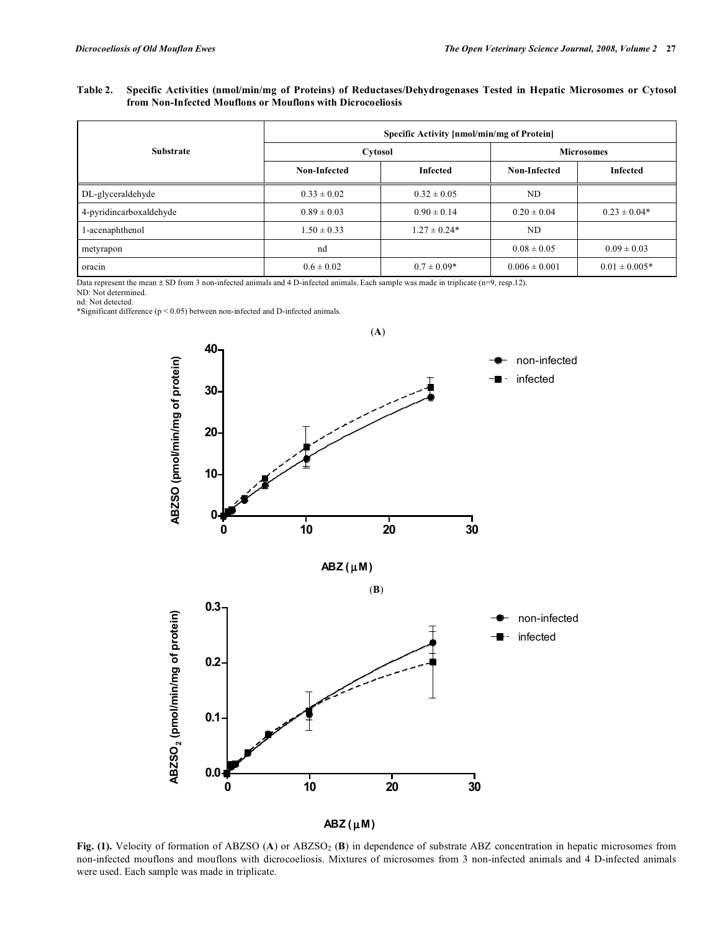# **Table 2. Specific Activities (nmol/min/mg of Proteins) of Reductases/Dehydrogenases Tested in Hepatic Microsomes or Cytosol from Non-Infected Mouflons or Mouflons with Dicrocoeliosis**

|                         | <b>Specific Activity [nmol/min/mg of Protein]</b> |                  |                   |                   |  |
|-------------------------|---------------------------------------------------|------------------|-------------------|-------------------|--|
| <b>Substrate</b>        | Cytosol                                           |                  | <b>Microsomes</b> |                   |  |
|                         | Non-Infected                                      | <b>Infected</b>  | Non-Infected      | <b>Infected</b>   |  |
| DL-glyceraldehyde       | $0.33 \pm 0.02$                                   | $0.32 \pm 0.05$  | ND                |                   |  |
| 4-pyridincarboxaldehyde | $0.89 \pm 0.03$                                   | $0.90 \pm 0.14$  | $0.20 \pm 0.04$   | $0.23 \pm 0.04*$  |  |
| 1-acenaphthenol         | $1.50 \pm 0.33$                                   | $1.27 \pm 0.24*$ | ND                |                   |  |
| metyrapon               | nd                                                |                  | $0.08 \pm 0.05$   | $0.09 \pm 0.03$   |  |
| oracin                  | $0.6 \pm 0.02$                                    | $0.7 \pm 0.09*$  | $0.006 \pm 0.001$ | $0.01 \pm 0.005*$ |  |

Data represent the mean ± SD from 3 non-infected animals and 4 D-infected animals. Each sample was made in triplicate (n=9, resp.12).

ND: Not determined.

nd: Not detected. \*Significant difference (p < 0.05) between non-infected and D-infected animals.



Fig. (1). Velocity of formation of ABZSO (A) or ABZSO<sub>2</sub> (B) in dependence of substrate ABZ concentration in hepatic microsomes from non-infected mouflons and mouflons with dicrocoeliosis. Mixtures of microsomes from 3 non-infected animals and 4 D-infected animals were used. Each sample was made in triplicate.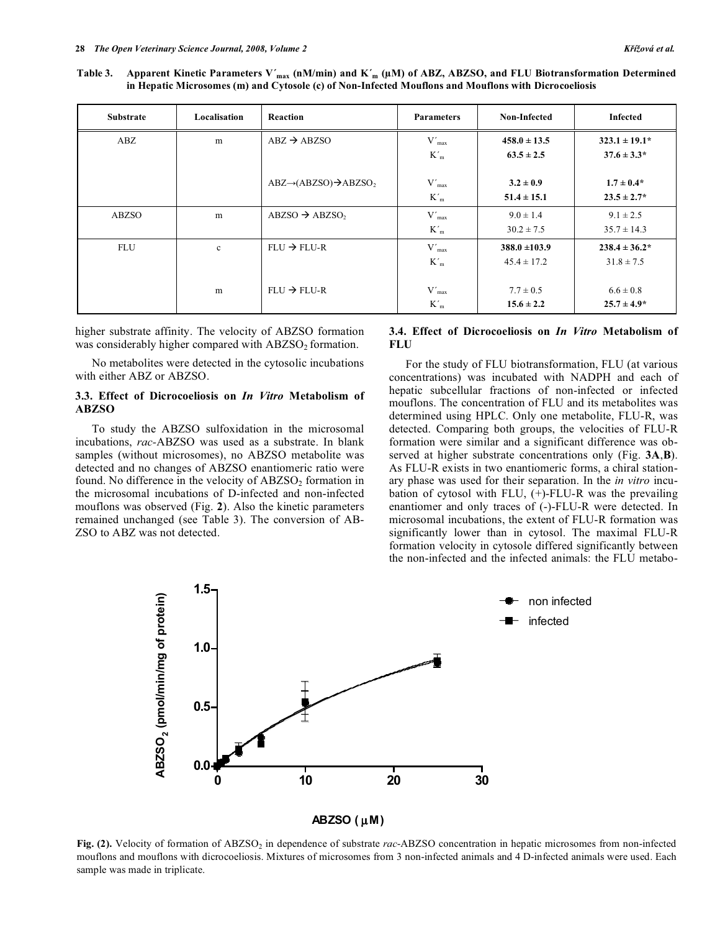Table 3. Apparent Kinetic Parameters V'<sub>max</sub> (nM/min) and K'<sub>m</sub> ( $\mu$ M) of ABZ, ABZSO, and FLU Biotransformation Determined **in Hepatic Microsomes (m) and Cytosole (c) of Non-Infected Mouflons and Mouflons with Dicrocoeliosis** 

| <b>Substrate</b> | Localisation | Reaction                                    | <b>Parameters</b> | Non-Infected      | Infected           |
|------------------|--------------|---------------------------------------------|-------------------|-------------------|--------------------|
| ABZ              | m            | $ABZ \rightarrow ABZSO$                     | $V'_{max}$        | $458.0 \pm 13.5$  | $323.1 \pm 19.1^*$ |
|                  |              |                                             | $K{'}_m$          | $63.5 \pm 2.5$    | $37.6 \pm 3.3*$    |
|                  |              |                                             |                   |                   |                    |
|                  |              | $ABZ \rightarrow (ABZSO) \rightarrow ABZSO$ | $V'_{max}$        | $3.2 \pm 0.9$     | $1.7 \pm 0.4*$     |
|                  |              |                                             | $K'_m$            | $51.4 \pm 15.1$   | $23.5 \pm 2.7^*$   |
| ABZSO            | m            | $ABZSO \rightarrow ABZSO$                   | $V'_{max}$        | $9.0 \pm 1.4$     | $9.1 \pm 2.5$      |
|                  |              |                                             | $K'_m$            | $30.2 \pm 7.5$    | $35.7 \pm 14.3$    |
| FLU              | $\mathbf{c}$ | $FLU \rightarrow FLU-R$                     | $V'_{max}$        | $388.0 \pm 103.9$ | $238.4 \pm 36.2^*$ |
|                  |              |                                             | $K'_m$            | $45.4 \pm 17.2$   | $31.8 \pm 7.5$     |
|                  |              |                                             |                   |                   |                    |
|                  | m            | $FLU \rightarrow FLU-R$                     | $V'_{max}$        | $7.7 \pm 0.5$     | $6.6 \pm 0.8$      |
|                  |              |                                             | $K'_m$            | $15.6 \pm 2.2$    | $25.7 \pm 4.9^*$   |

higher substrate affinity. The velocity of ABZSO formation was considerably higher compared with  $ABZSO<sub>2</sub>$  formation.

 No metabolites were detected in the cytosolic incubations with either ABZ or ABZSO.

# **3.3. Effect of Dicrocoeliosis on** *In Vitro* **Metabolism of ABZSO**

 To study the ABZSO sulfoxidation in the microsomal incubations, *rac-*ABZSO was used as a substrate. In blank samples (without microsomes), no ABZSO metabolite was detected and no changes of ABZSO enantiomeric ratio were found. No difference in the velocity of  $ABZSO<sub>2</sub>$  formation in the microsomal incubations of D-infected and non-infected mouflons was observed (Fig. **2**). Also the kinetic parameters remained unchanged (see Table 3). The conversion of AB-ZSO to ABZ was not detected.

# **3.4. Effect of Dicrocoeliosis on** *In Vitro* **Metabolism of FLU**

 For the study of FLU biotransformation, FLU (at various concentrations) was incubated with NADPH and each of hepatic subcellular fractions of non-infected or infected mouflons. The concentration of FLU and its metabolites was determined using HPLC. Only one metabolite, FLU-R, was detected. Comparing both groups, the velocities of FLU-R formation were similar and a significant difference was observed at higher substrate concentrations only (Fig. **3A**,**B**). As FLU-R exists in two enantiomeric forms, a chiral stationary phase was used for their separation. In the *in vitro* incubation of cytosol with FLU, (+)-FLU-R was the prevailing enantiomer and only traces of (-)-FLU-R were detected. In microsomal incubations, the extent of FLU-R formation was significantly lower than in cytosol. The maximal FLU-R formation velocity in cytosole differed significantly between the non-infected and the infected animals: the FLU metabo-



**Fig. (2).** Velocity of formation of ABZSO<sub>2</sub> in dependence of substrate *rac*-ABZSO concentration in hepatic microsomes from non-infected mouflons and mouflons with dicrocoeliosis. Mixtures of microsomes from 3 non-infected animals and 4 D-infected animals were used. Each sample was made in triplicate.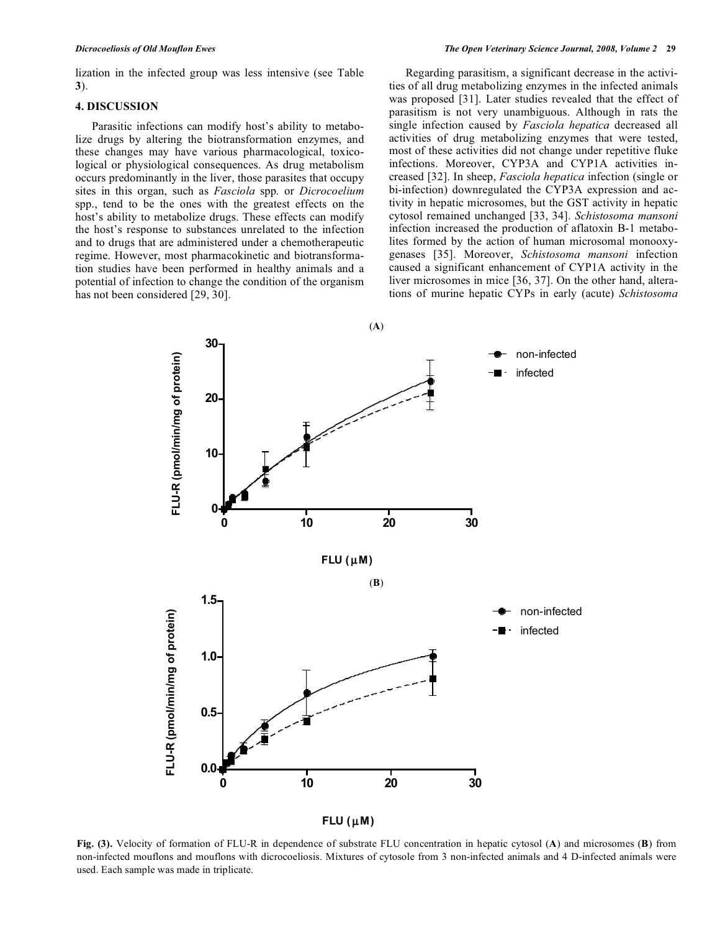lization in the infected group was less intensive (see Table **3**).

# **4. DISCUSSION**

 Parasitic infections can modify host's ability to metabolize drugs by altering the biotransformation enzymes, and these changes may have various pharmacological, toxicological or physiological consequences. As drug metabolism occurs predominantly in the liver, those parasites that occupy sites in this organ, such as *Fasciola* spp*.* or *Dicrocoelium*  spp., tend to be the ones with the greatest effects on the host's ability to metabolize drugs. These effects can modify the host's response to substances unrelated to the infection and to drugs that are administered under a chemotherapeutic regime. However, most pharmacokinetic and biotransformation studies have been performed in healthy animals and a potential of infection to change the condition of the organism has not been considered [29, 30].

 Regarding parasitism, a significant decrease in the activities of all drug metabolizing enzymes in the infected animals was proposed [31]. Later studies revealed that the effect of parasitism is not very unambiguous. Although in rats the single infection caused by *Fasciola hepatica* decreased all activities of drug metabolizing enzymes that were tested, most of these activities did not change under repetitive fluke infections. Moreover, CYP3A and CYP1A activities increased [32]. In sheep, *Fasciola hepatica* infection (single or bi-infection) downregulated the CYP3A expression and activity in hepatic microsomes, but the GST activity in hepatic cytosol remained unchanged [33, 34]. *Schistosoma mansoni* infection increased the production of aflatoxin B-1 metabolites formed by the action of human microsomal monooxygenases [35]. Moreover, *Schistosoma mansoni* infection caused a significant enhancement of CYP1A activity in the liver microsomes in mice [36, 37]. On the other hand, alterations of murine hepatic CYPs in early (acute) *Schistosoma* 



 $FLU(\mu M)$ 

**Fig. (3).** Velocity of formation of FLU-R in dependence of substrate FLU concentration in hepatic cytosol (**A**) and microsomes (**B**) from non-infected mouflons and mouflons with dicrocoeliosis. Mixtures of cytosole from 3 non-infected animals and 4 D-infected animals were used. Each sample was made in triplicate.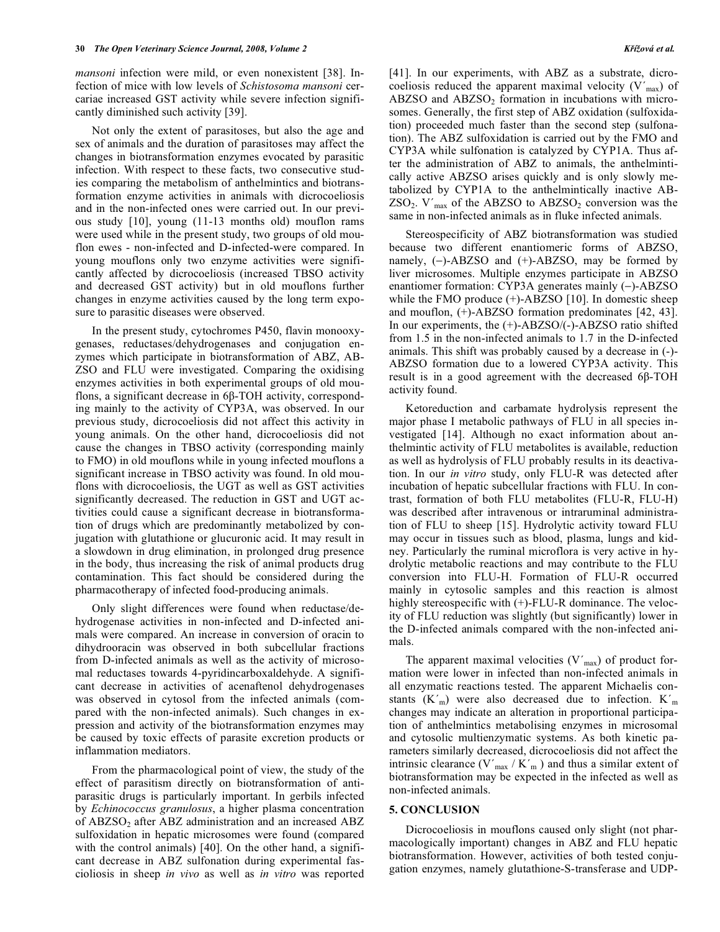*mansoni* infection were mild, or even nonexistent [38]. Infection of mice with low levels of *Schistosoma mansoni* cercariae increased GST activity while severe infection significantly diminished such activity [39].

 Not only the extent of parasitoses, but also the age and sex of animals and the duration of parasitoses may affect the changes in biotransformation enzymes evocated by parasitic infection. With respect to these facts, two consecutive studies comparing the metabolism of anthelmintics and biotransformation enzyme activities in animals with dicrocoeliosis and in the non-infected ones were carried out. In our previous study [10], young (11-13 months old) mouflon rams were used while in the present study, two groups of old mouflon ewes - non-infected and D-infected-were compared. In young mouflons only two enzyme activities were significantly affected by dicrocoeliosis (increased TBSO activity and decreased GST activity) but in old mouflons further changes in enzyme activities caused by the long term exposure to parasitic diseases were observed.

 In the present study, cytochromes P450, flavin monooxygenases, reductases/dehydrogenases and conjugation enzymes which participate in biotransformation of ABZ, AB-ZSO and FLU were investigated. Comparing the oxidising enzymes activities in both experimental groups of old mouflons, a significant decrease in  $6\beta$ -TOH activity, corresponding mainly to the activity of CYP3A, was observed. In our previous study, dicrocoeliosis did not affect this activity in young animals. On the other hand, dicrocoeliosis did not cause the changes in TBSO activity (corresponding mainly to FMO) in old mouflons while in young infected mouflons a significant increase in TBSO activity was found. In old mouflons with dicrocoeliosis, the UGT as well as GST activities significantly decreased. The reduction in GST and UGT activities could cause a significant decrease in biotransformation of drugs which are predominantly metabolized by conjugation with glutathione or glucuronic acid. It may result in a slowdown in drug elimination, in prolonged drug presence in the body, thus increasing the risk of animal products drug contamination. This fact should be considered during the pharmacotherapy of infected food-producing animals.

 Only slight differences were found when reductase/dehydrogenase activities in non-infected and D-infected animals were compared. An increase in conversion of oracin to dihydrooracin was observed in both subcellular fractions from D-infected animals as well as the activity of microsomal reductases towards 4-pyridincarboxaldehyde. A significant decrease in activities of acenaftenol dehydrogenases was observed in cytosol from the infected animals (compared with the non-infected animals). Such changes in expression and activity of the biotransformation enzymes may be caused by toxic effects of parasite excretion products or inflammation mediators.

 From the pharmacological point of view, the study of the effect of parasitism directly on biotransformation of antiparasitic drugs is particularly important. In gerbils infected by *Echinococcus granulosus*, a higher plasma concentration of ABZSO<sub>2</sub> after ABZ administration and an increased ABZ sulfoxidation in hepatic microsomes were found (compared with the control animals) [40]. On the other hand, a significant decrease in ABZ sulfonation during experimental fascioliosis in sheep *in vivo* as well as *in vitro* was reported [41]. In our experiments, with ABZ as a substrate, dicrocoeliosis reduced the apparent maximal velocity  $(V'_{max})$  of ABZSO and  $ABZSO<sub>2</sub>$  formation in incubations with microsomes. Generally, the first step of ABZ oxidation (sulfoxidation) proceeded much faster than the second step (sulfonation). The ABZ sulfoxidation is carried out by the FMO and CYP3A while sulfonation is catalyzed by CYP1A. Thus after the administration of ABZ to animals, the anthelmintically active ABZSO arises quickly and is only slowly metabolized by CYP1A to the anthelmintically inactive AB- $ZSO_2$ . V'<sub>max</sub> of the ABZSO to ABZSO<sub>2</sub> conversion was the same in non-infected animals as in fluke infected animals.

 Stereospecificity of ABZ biotransformation was studied because two different enantiomeric forms of ABZSO, namely,  $(-)$ -ABZSO and  $(+)$ -ABZSO, may be formed by liver microsomes. Multiple enzymes participate in ABZSO enantiomer formation: CYP3A generates mainly  $(-)$ -ABZSO while the FMO produce  $(+)$ -ABZSO [10]. In domestic sheep and mouflon, (+)-ABZSO formation predominates [42, 43]. In our experiments, the (+)-ABZSO/(-)-ABZSO ratio shifted from 1.5 in the non-infected animals to 1.7 in the D-infected animals. This shift was probably caused by a decrease in (-)- ABZSO formation due to a lowered CYP3A activity. This result is in a good agreement with the decreased  $6\beta$ -TOH activity found.

 Ketoreduction and carbamate hydrolysis represent the major phase I metabolic pathways of FLU in all species investigated [14]. Although no exact information about anthelmintic activity of FLU metabolites is available, reduction as well as hydrolysis of FLU probably results in its deactivation. In our *in vitro* study, only FLU-R was detected after incubation of hepatic subcellular fractions with FLU. In contrast, formation of both FLU metabolites (FLU-R, FLU-H) was described after intravenous or intraruminal administration of FLU to sheep [15]. Hydrolytic activity toward FLU may occur in tissues such as blood, plasma, lungs and kidney. Particularly the ruminal microflora is very active in hydrolytic metabolic reactions and may contribute to the FLU conversion into FLU-H. Formation of FLU-R occurred mainly in cytosolic samples and this reaction is almost highly stereospecific with  $(+)$ -FLU-R dominance. The velocity of FLU reduction was slightly (but significantly) lower in the D-infected animals compared with the non-infected animals.

The apparent maximal velocities  $(V'_{max})$  of product formation were lower in infected than non-infected animals in all enzymatic reactions tested. The apparent Michaelis constants  $(K<sub>m</sub>)$  were also decreased due to infection.  $K<sub>m</sub>$ changes may indicate an alteration in proportional participation of anthelmintics metabolising enzymes in microsomal and cytosolic multienzymatic systems. As both kinetic parameters similarly decreased, dicrocoeliosis did not affect the intrinsic clearance  $(V'_{max} / K'_{m})$  and thus a similar extent of biotransformation may be expected in the infected as well as non-infected animals.

# **5. CONCLUSION**

 Dicrocoeliosis in mouflons caused only slight (not pharmacologically important) changes in ABZ and FLU hepatic biotransformation. However, activities of both tested conjugation enzymes, namely glutathione-S-transferase and UDP-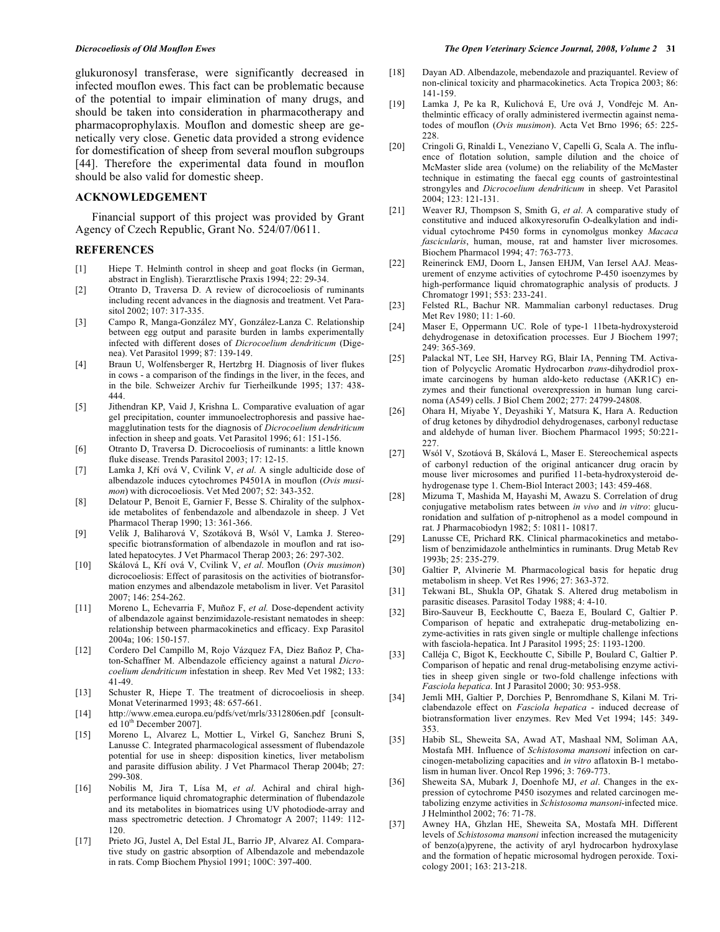glukuronosyl transferase, were significantly decreased in infected mouflon ewes. This fact can be problematic because of the potential to impair elimination of many drugs, and should be taken into consideration in pharmacotherapy and pharmacoprophylaxis. Mouflon and domestic sheep are genetically very close. Genetic data provided a strong evidence for domestification of sheep from several mouflon subgroups [44]. Therefore the experimental data found in mouflon should be also valid for domestic sheep.

# **ACKNOWLEDGEMENT**

 Financial support of this project was provided by Grant Agency of Czech Republic, Grant No. 524/07/0611.

# **REFERENCES**

- [1] Hiepe T. Helminth control in sheep and goat flocks (in German, abstract in English). Tierarztlische Praxis 1994; 22: 29-34.
- [2] Otranto D, Traversa D. A review of dicrocoeliosis of ruminants including recent advances in the diagnosis and treatment. Vet Parasitol 2002; 107: 317-335.
- [3] Campo R, Manga-González MY, González-Lanza C. Relationship between egg output and parasite burden in lambs experimentally infected with different doses of *Dicrocoelium dendriticum* (Digenea). Vet Parasitol 1999; 87: 139-149.
- [4] Braun U, Wolfensberger R, Hertzbrg H. Diagnosis of liver flukes in cows - a comparison of the findings in the liver, in the feces, and in the bile. Schweizer Archiv fur Tierheilkunde 1995; 137: 438- 444.
- [5] Jithendran KP, Vaid J, Krishna L. Comparative evaluation of agar gel precipitation, counter immunoelectrophoresis and passive haemagglutination tests for the diagnosis of *Dicrocoelium dendriticum* infection in sheep and goats. Vet Parasitol 1996; 61: 151-156.
- [6] Otranto D, Traversa D. Dicrocoeliosis of ruminants: a little known fluke disease. Trends Parasitol 2003; 17: 12-15.
- [7] Lamka J, Kří ová V, Cvilink V, et al. A single adulticide dose of albendazole induces cytochromes P4501A in mouflon (*Ovis musimon*) with dicrocoeliosis. Vet Med 2007; 52: 343-352.
- [8] Delatour P, Benoit E, Garnier F, Besse S. Chirality of the sulphoxide metabolites of fenbendazole and albendazole in sheep. J Vet Pharmacol Therap 1990; 13: 361-366.
- [9] Velík J, Baliharová V, Szotáková B, Wsól V, Lamka J. Stereospecific biotransformation of albendazole in mouflon and rat isolated hepatocytes. J Vet Pharmacol Therap 2003; 26: 297-302.
- [10] Skálová L, Kí ová V, Cvilink V, *et al*. Mouflon (*Ovis musimon*) dicrocoeliosis: Effect of parasitosis on the activities of biotransformation enzymes and albendazole metabolism in liver. Vet Parasitol 2007; 146: 254-262.
- [11] Moreno L, Echevarria F, Muñoz F, *et al.* Dose-dependent activity of albendazole against benzimidazole-resistant nematodes in sheep: relationship between pharmacokinetics and efficacy. Exp Parasitol 2004a; 106: 150-157.
- [12] Cordero Del Campillo M, Rojo Vázquez FA, Diez Bañoz P, Chaton-Schaffner M. Albendazole efficiency against a natural *Dicrocoelium dendriticum* infestation in sheep. Rev Med Vet 1982; 133: 41-49.
- [13] Schuster R, Hiepe T. The treatment of dicrocoeliosis in sheep. Monat Veterinarmed 1993; 48: 657-661.
- [14] http://www.emea.europa.eu/pdfs/vet/mrls/3312806en.pdf [consulted 10<sup>th</sup> December 2007].
- [15] Moreno L, Alvarez L, Mottier L, Virkel G, Sanchez Bruni S, Lanusse C. Integrated pharmacological assessment of flubendazole potential for use in sheep: disposition kinetics, liver metabolism and parasite diffusion ability. J Vet Pharmacol Therap 2004b; 27: 299-308.
- [16] Nobilis M, Jira T, Lísa M, *et al*. Achiral and chiral highperformance liquid chromatographic determination of flubendazole and its metabolites in biomatrices using UV photodiode-array and mass spectrometric detection. J Chromatogr A 2007; 1149: 112- 120.
- [17] Prieto JG, Justel A, Del Estal JL, Barrio JP, Alvarez AI. Comparative study on gastric absorption of Albendazole and mebendazole in rats. Comp Biochem Physiol 1991; 100C: 397-400.
- [18] Dayan AD. Albendazole, mebendazole and praziquantel. Review of non-clinical toxicity and pharmacokinetics. Acta Tropica 2003; 86: 141-159.
- [19] Lamka J, Pe ka R, Kulichová E, Ure ová J, Vondřejc M. Anthelmintic efficacy of orally administered ivermectin against nematodes of mouflon (*Ovis musimon*). Acta Vet Brno 1996; 65: 225- 228.
- [20] Cringoli G, Rinaldi L, Veneziano V, Capelli G, Scala A. The influence of flotation solution, sample dilution and the choice of McMaster slide area (volume) on the reliability of the McMaster technique in estimating the faecal egg counts of gastrointestinal strongyles and *Dicrocoelium dendriticum* in sheep. Vet Parasitol 2004; 123: 121-131.
- [21] Weaver RJ, Thompson S, Smith G, *et al*. A comparative study of constitutive and induced alkoxyresorufin O-dealkylation and individual cytochrome P450 forms in cynomolgus monkey *Macaca fascicularis*, human, mouse, rat and hamster liver microsomes. Biochem Pharmacol 1994; 47: 763-773.
- [22] Reinerinck EMJ, Doorn L, Jansen EHJM, Van Iersel AAJ. Measurement of enzyme activities of cytochrome P-450 isoenzymes by high-performance liquid chromatographic analysis of products. J Chromatogr 1991; 553: 233-241.
- [23] Felsted RL, Bachur NR. Mammalian carbonyl reductases. Drug Met Rev 1980; 11: 1-60.
- [24] Maser E, Oppermann UC. Role of type-1 11beta-hydroxysteroid dehydrogenase in detoxification processes. Eur J Biochem 1997; 249: 365-369.
- [25] Palackal NT, Lee SH, Harvey RG, Blair IA, Penning TM. Activation of Polycyclic Aromatic Hydrocarbon *trans*-dihydrodiol proximate carcinogens by human aldo-keto reductase (AKR1C) enzymes and their functional overexpression in human lung carcinoma (A549) cells. J Biol Chem 2002; 277: 24799-24808.
- [26] Ohara H, Miyabe Y, Deyashiki Y, Matsura K, Hara A. Reduction of drug ketones by dihydrodiol dehydrogenases, carbonyl reductase and aldehyde of human liver. Biochem Pharmacol 1995; 50:221- 227.
- [27] Wsól V, Szotáová B, Skálová L, Maser E. Stereochemical aspects of carbonyl reduction of the original anticancer drug oracin by mouse liver microsomes and purified 11-beta-hydroxysteroid dehydrogenase type 1. Chem-Biol Interact 2003; 143: 459-468.
- [28] Mizuma T, Mashida M, Hayashi M, Awazu S. Correlation of drug conjugative metabolism rates between *in vivo* and *in vitro*: glucuronidation and sulfation of p-nitrophenol as a model compound in rat. J Pharmacobiodyn 1982; 5: 10811- 10817.
- [29] Lanusse CE, Prichard RK. Clinical pharmacokinetics and metabolism of benzimidazole anthelmintics in ruminants. Drug Metab Rev 1993b; 25: 235-279.
- [30] Galtier P, Alvinerie M. Pharmacological basis for hepatic drug metabolism in sheep. Vet Res 1996; 27: 363-372.
- [31] Tekwani BL, Shukla OP, Ghatak S. Altered drug metabolism in parasitic diseases. Parasitol Today 1988; 4: 4-10.
- [32] Biro-Sauveur B, Eeckhoutte C, Baeza E, Boulard C, Galtier P. Comparison of hepatic and extrahepatic drug-metabolizing enzyme-activities in rats given single or multiple challenge infections with fasciola-hepatica. Int J Parasitol 1995; 25: 1193-1200.
- [33] Calléja C, Bigot K, Eeckhoutte C, Sibille P, Boulard C, Galtier P. Comparison of hepatic and renal drug-metabolising enzyme activities in sheep given single or two-fold challenge infections with *Fasciola hepatica*. Int J Parasitol 2000; 30: 953-958.
- [34] Jemli MH, Galtier P, Dorchies P, Benromdhane S, Kilani M. Triclabendazole effect on *Fasciola hepatica* - induced decrease of biotransformation liver enzymes. Rev Med Vet 1994; 145: 349- 353.
- [35] Habib SL, Sheweita SA, Awad AT, Mashaal NM, Soliman AA, Mostafa MH. Influence of *Schistosoma mansoni* infection on carcinogen-metabolizing capacities and *in vitro* aflatoxin B-1 metabolism in human liver. Oncol Rep 1996; 3: 769-773.
- [36] Sheweita SA, Mubark J, Doenhofe MJ, *et al*. Changes in the expression of cytochrome P450 isozymes and related carcinogen metabolizing enzyme activities in *Schistosoma mansoni*-infected mice. J Helminthol 2002; 76: 71-78.
- [37] Awney HA, Ghzlan HE, Sheweita SA, Mostafa MH. Different levels of *Schistosoma mansoni* infection increased the mutagenicity of benzo(a)pyrene, the activity of aryl hydrocarbon hydroxylase and the formation of hepatic microsomal hydrogen peroxide. Toxicology 2001; 163: 213-218.